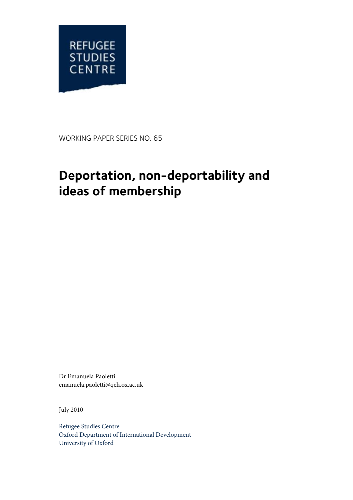

WORKING PAPER SERIES NO. 65

# **Deportation, non-deportability and ideas of membership**

Dr Emanuela Paoletti emanuela.paoletti@qeh.ox.ac.uk

July 2010

Refugee Studies Centre Oxford Department of International Development University of Oxford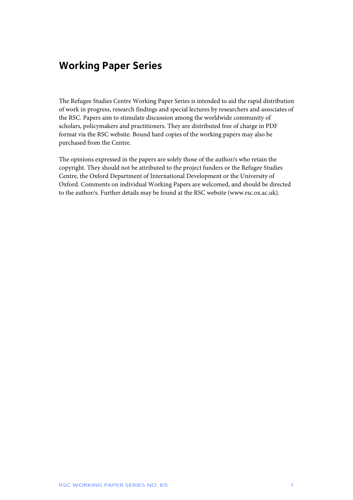# **Working Paper Series**

The Refugee Studies Centre Working Paper Series is intended to aid the rapid distribution of work in progress, research findings and special lectures by researchers and associates of the RSC. Papers aim to stimulate discussion among the worldwide community of scholars, policymakers and practitioners. They are distributed free of charge in PDF format via the RSC website. Bound hard copies of the working papers may also be purchased from the Centre.

The opinions expressed in the papers are solely those of the author/s who retain the copyright. They should not be attributed to the project funders or the Refugee Studies Centre, the Oxford Department of International Development or the University of Oxford. Comments on individual Working Papers are welcomed, and should be directed to the author/s. Further details may be found at the RSC website (www.rsc.ox.ac.uk).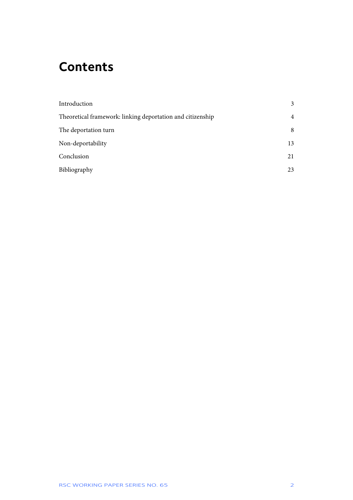# **Contents**

| Introduction                                               | 3              |
|------------------------------------------------------------|----------------|
| Theoretical framework: linking deportation and citizenship | $\overline{4}$ |
| The deportation turn                                       | 8              |
| Non-deportability                                          | 13             |
| Conclusion                                                 | 21             |
| Bibliography                                               | 23             |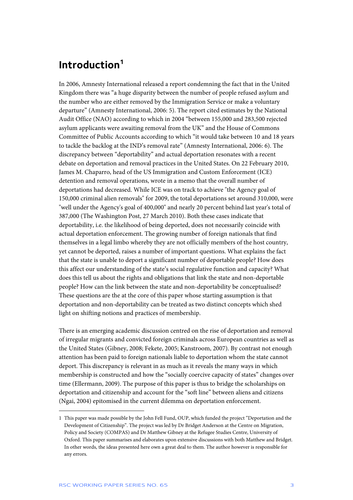### **Introduction1**

In 2006, Amnesty International released a report condemning the fact that in the United Kingdom there was "a huge disparity between the number of people refused asylum and the number who are either removed by the Immigration Service or make a voluntary departure" (Amnesty International, 2006: 5). The report cited estimates by the National Audit Office (NAO) according to which in 2004 "between 155,000 and 283,500 rejected asylum applicants were awaiting removal from the UK" and the House of Commons Committee of Public Accounts according to which "it would take between 10 and 18 years to tackle the backlog at the IND's removal rate" (Amnesty International, 2006: 6). The discrepancy between "deportability" and actual deportation resonates with a recent debate on deportation and removal practices in the United States. On 22 February 2010, James M. Chaparro, head of the US Immigration and Custom Enforcement (ICE) detention and removal operations, wrote in a memo that the overall number of deportations had decreased. While ICE was on track to achieve "the Agency goal of 150,000 criminal alien removals" for 2009, the total deportations set around 310,000, were "well under the Agency's goal of 400,000" and nearly 20 percent behind last year's total of 387,000 (The Washington Post, 27 March 2010). Both these cases indicate that deportability, i.e. the likelihood of being deported, does not necessarily coincide with actual deportation enforcement. The growing number of foreign nationals that find themselves in a legal limbo whereby they are not officially members of the host country, yet cannot be deported, raises a number of important questions. What explains the fact that the state is unable to deport a significant number of deportable people? How does this affect our understanding of the state's social regulative function and capacity? What does this tell us about the rights and obligations that link the state and non-deportable people? How can the link between the state and non-deportability be conceptualised? These questions are the at the core of this paper whose starting assumption is that deportation and non-deportability can be treated as two distinct concepts which shed light on shifting notions and practices of membership.

There is an emerging academic discussion centred on the rise of deportation and removal of irregular migrants and convicted foreign criminals across European countries as well as the United States (Gibney, 2008; Fekete, 2005; Kanstroom, 2007). By contrast not enough attention has been paid to foreign nationals liable to deportation whom the state cannot deport. This discrepancy is relevant in as much as it reveals the many ways in which membership is constructed and how the "socially coercive capacity of states" changes over time (Ellermann, 2009). The purpose of this paper is thus to bridge the scholarships on deportation and citizenship and account for the "soft line" between aliens and citizens (Ngai, 2004) epitomised in the current dilemma on deportation enforcement.

<sup>1</sup> This paper was made possible by the John Fell Fund, OUP, which funded the project "Deportation and the Development of Citizenship". The project was led by Dr Bridget Anderson at the Centre on Migration, Policy and Society (COMPAS) and Dr Matthew Gibney at the Refugee Studies Centre, University of Oxford. This paper summarises and elaborates upon extensive discussions with both Matthew and Bridget. In other words, the ideas presented here own a great deal to them. The author however is responsible for any errors.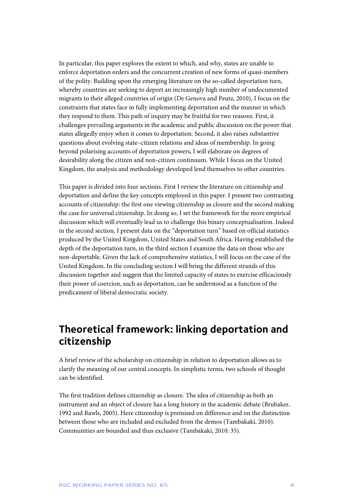In particular, this paper explores the extent to which, and why, states are unable to enforce deportation orders and the concurrent creation of new forms of quasi-members of the polity. Building upon the emerging literature on the so-called deportation turn, whereby countries are seeking to deport an increasingly high number of undocumented migrants to their alleged countries of origin (De Genova and Peutz, 2010), I focus on the constraints that states face in fully implementing deportation and the manner in which they respond to them. This path of inquiry may be fruitful for two reasons. First, it challenges prevailing arguments in the academic and public discussion on the power that states allegedly enjoy when it comes to deportation. Second, it also raises substantive questions about evolving state–citizen relations and ideas of membership. In going beyond polarising accounts of deportation powers, I will elaborate on degrees of desirability along the citizen and non-citizen continuum. While I focus on the United Kingdom, the analysis and methodology developed lend themselves to other countries.

This paper is divided into four sections. First I review the literature on citizenship and deportation and define the key concepts employed in this paper. I present two contrasting accounts of citizenship: the first one viewing citizenship as closure and the second making the case for universal citizenship. In doing so, I set the framework for the more empirical discussion which will eventually lead us to challenge this binary conceptualisation. Indeed in the second section, I present data on the "deportation turn" based on official statistics produced by the United Kingdom, United States and South Africa. Having established the depth of the deportation turn, in the third section I examine the data on those who are non-deportable. Given the lack of comprehensive statistics, I will focus on the case of the United Kingdom. In the concluding section I will bring the different strands of this discussion together and suggest that the limited capacity of states to exercise efficaciously their power of coercion, such as deportation, can be understood as a function of the predicament of liberal democratic society.

### **Theoretical framework: linking deportation and citizenship**

A brief review of the scholarship on citizenship in relation to deportation allows us to clarify the meaning of our central concepts. In simplistic terms, two schools of thought can be identified.

The first tradition defines citizenship as closure. The idea of citizenship as both an instrument and an object of closure has a long history in the academic debate (Brubaker, 1992 and Rawls, 2005). Here citizenship is premised on difference and on the distinction between those who are included and excluded from the demos (Tambakaki, 2010). Communities are bounded and thus exclusive (Tambakaki, 2010: 35).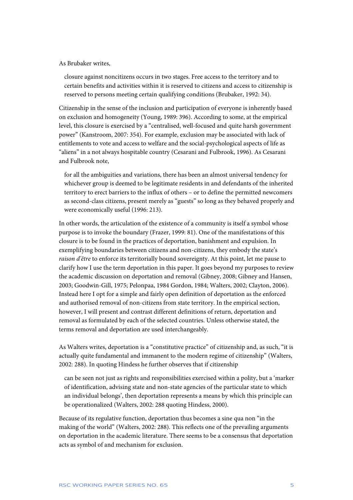#### As Brubaker writes,

closure against noncitizens occurs in two stages. Free access to the territory and to certain benefits and activities within it is reserved to citizens and access to citizenship is reserved to persons meeting certain qualifying conditions (Brubaker, 1992: 34).

Citizenship in the sense of the inclusion and participation of everyone is inherently based on exclusion and homogeneity (Young, 1989: 396). According to some, at the empirical level, this closure is exercised by a "centralised, well-focused and quite harsh government power" (Kanstroom, 2007: 354). For example, exclusion may be associated with lack of entitlements to vote and access to welfare and the social-psychological aspects of life as "aliens" in a not always hospitable country (Cesarani and Fulbrook, 1996). As Cesarani and Fulbrook note,

for all the ambiguities and variations, there has been an almost universal tendency for whichever group is deemed to be legitimate residents in and defendants of the inherited territory to erect barriers to the influx of others – or to define the permitted newcomers as second-class citizens, present merely as "guests" so long as they behaved properly and were economically useful (1996: 213).

In other words, the articulation of the existence of a community is itself a symbol whose purpose is to invoke the boundary (Frazer, 1999: 81). One of the manifestations of this closure is to be found in the practices of deportation, banishment and expulsion. In exemplifying boundaries between citizens and non-citizens, they embody the state's *raison d'être* to enforce its territorially bound sovereignty. At this point, let me pause to clarify how I use the term deportation in this paper. It goes beyond my purposes to review the academic discussion on deportation and removal (Gibney, 2008; Gibney and Hansen, 2003; Goodwin-Gill, 1975; Pelonpaa, 1984 Gordon, 1984; Walters, 2002; Clayton, 2006). Instead here I opt for a simple and fairly open definition of deportation as the enforced and authorised removal of non-citizens from state territory. In the empirical section, however, I will present and contrast different definitions of return, deportation and removal as formulated by each of the selected countries. Unless otherwise stated, the terms removal and deportation are used interchangeably.

As Walters writes, deportation is a "constitutive practice" of citizenship and, as such, "it is actually quite fundamental and immanent to the modern regime of citizenship" (Walters, 2002: 288). In quoting Hindess he further observes that if citizenship

can be seen not just as rights and responsibilities exercised within a polity, but a 'marker of identification, advising state and non-state agencies of the particular state to which an individual belongs', then deportation represents a means by which this principle can be operationalized (Walters, 2002: 288 quoting Hindess, 2000).

Because of its regulative function, deportation thus becomes a sine qua non "in the making of the world" (Walters, 2002: 288). This reflects one of the prevailing arguments on deportation in the academic literature. There seems to be a consensus that deportation acts as symbol of and mechanism for exclusion.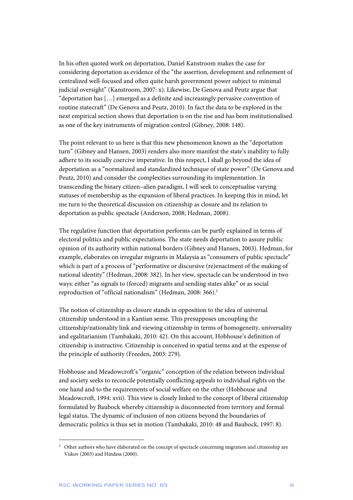In his often quoted work on deportation, Daniel Kanstroom makes the case for considering deportation as evidence of the "the assertion, development and refinement of centralized well-focused and often quite harsh government power subject to minimal judicial oversight" (Kanstroom, 2007: x). Likewise, De Genova and Peutz argue that "deportation has […] emerged as a definite and increasingly pervasive convention of routine statecraft" (De Genova and Peutz, 2010). In fact the data to be explored in the next empirical section shows that deportation is on the rise and has been institutionalised as one of the key instruments of migration control (Gibney, 2008: 148).

The point relevant to us here is that this new phenomenon known as the "deportation turn" (Gibney and Hansen, 2003) renders also more manifest the state's inability to fully adhere to its socially coercive imperative. In this respect, I shall go beyond the idea of deportation as a "normalized and standardized technique of state power" (De Genova and Peutz, 2010) and consider the complexities surrounding its implementation. In transcending the binary citizen–alien paradigm, I will seek to conceptualise varying statuses of membership as the expansion of liberal practices. In keeping this in mind, let me turn to the theoretical discussion on citizenship as closure and its relation to deportation as public spectacle (Anderson, 2008; Hedman, 2008).

The regulative function that deportation performs can be partly explained in terms of electoral politics and public expectations. The state needs deportation to assure public opinion of its authority within national borders (Gibney and Hansen, 2003). Hedman, for example, elaborates on irregular migrants in Malaysia as "consumers of public spectacle" which is part of a process of "performative or discursive (re)enactment of the making of national identity" (Hedman, 2008: 382). In her view, spectacle can be understood in two ways: either "as signals to (forced) migrants and sending states alike" or as social reproduction of "official nationalism" (Hedman, 2008: 366).<sup>2</sup>

The notion of citizenship as closure stands in opposition to the idea of universal citizenship understood in a Kantian sense. This presupposes uncoupling the citizenship/nationality link and viewing citizenship in terms of homogeneity, universality and egalitarianism (Tambakaki, 2010: 42). On this account, Hobhouse's definition of citizenship is instructive. Citizenship is conceived in spatial terms and at the expense of the principle of authority (Freeden, 2003: 279).

Hobhouse and Meadowcroft's "organic" conception of the relation between individual and society seeks to reconcile potentially conflicting appeals to individual rights on the one hand and to the requirements of social welfare on the other (Hobhouse and Meadowcroft, 1994: xvii). This view is closely linked to the concept of liberal citizenship formulated by Baubock whereby citizenship is disconnected from territory and formal legal status. The dynamic of inclusion of non citizens beyond the boundaries of democratic politics is thus set in motion (Tambakaki, 2010: 48 and Baubock, 1997: 8).

<sup>2</sup> Other authors who have elaborated on the concept of spectacle concerning migration and citizenship are Vukov (2003) and Hindess (2000).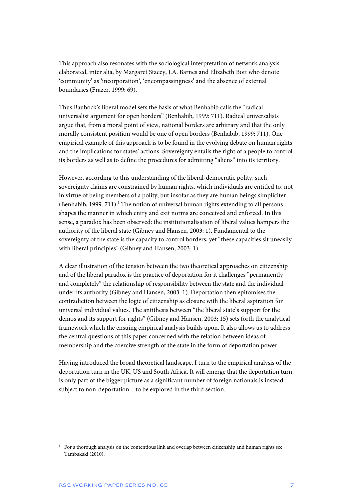This approach also resonates with the sociological interpretation of network analysis elaborated, inter alia, by Margaret Stacey, J.A. Barnes and Elizabeth Bott who denote 'community' as 'incorporation', 'encompassingness' and the absence of external boundaries (Frazer, 1999: 69).

Thus Baubock's liberal model sets the basis of what Benhabib calls the "radical universalist argument for open borders" (Benhabib, 1999: 711). Radical universalists argue that, from a moral point of view, national borders are arbitrary and that the only morally consistent position would be one of open borders (Benhabib, 1999: 711). One empirical example of this approach is to be found in the evolving debate on human rights and the implications for states' actions. Sovereignty entails the right of a people to control its borders as well as to define the procedures for admitting "aliens" into its territory.

However, according to this understanding of the liberal-democratic polity, such sovereignty claims are constrained by human rights, which individuals are entitled to, not in virtue of being members of a polity, but insofar as they are human beings simpliciter (Benhabib, 1999: 711).<sup>3</sup> The notion of universal human rights extending to all persons shapes the manner in which entry and exit norms are conceived and enforced. In this sense, a paradox has been observed: the institutionalisation of liberal values hampers the authority of the liberal state (Gibney and Hansen, 2003: 1). Fundamental to the sovereignty of the state is the capacity to control borders, yet "these capacities sit uneasily with liberal principles" (Gibney and Hansen, 2003: 1).

A clear illustration of the tension between the two theoretical approaches on citizenship and of the liberal paradox is the practice of deportation for it challenges "permanently and completely" the relationship of responsibility between the state and the individual under its authority (Gibney and Hansen, 2003: 1). Deportation then epitomises the contradiction between the logic of citizenship as closure with the liberal aspiration for universal individual values. The antithesis between "the liberal state's support for the demos and its support for rights" (Gibney and Hansen, 2003: 15) sets forth the analytical framework which the ensuing empirical analysis builds upon. It also allows us to address the central questions of this paper concerned with the relation between ideas of membership and the coercive strength of the state in the form of deportation power.

Having introduced the broad theoretical landscape, I turn to the empirical analysis of the deportation turn in the UK, US and South Africa. It will emerge that the deportation turn is only part of the bigger picture as a significant number of foreign nationals is instead subject to non-deportation – to be explored in the third section.

<sup>3</sup> For a thorough analysis on the contentious link and overlap between citizenship and human rights see Tambakaki (2010).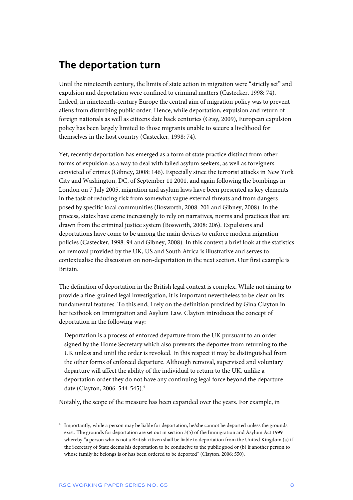## **The deportation turn**

Until the nineteenth century, the limits of state action in migration were "strictly set" and expulsion and deportation were confined to criminal matters (Castecker, 1998: 74). Indeed, in nineteenth-century Europe the central aim of migration policy was to prevent aliens from disturbing public order. Hence, while deportation, expulsion and return of foreign nationals as well as citizens date back centuries (Gray, 2009), European expulsion policy has been largely limited to those migrants unable to secure a livelihood for themselves in the host country (Castecker, 1998: 74).

Yet, recently deportation has emerged as a form of state practice distinct from other forms of expulsion as a way to deal with failed asylum seekers, as well as foreigners convicted of crimes (Gibney, 2008: 146). Especially since the terrorist attacks in New York City and Washington, DC, of September 11 2001, and again following the bombings in London on 7 July 2005, migration and asylum laws have been presented as key elements in the task of reducing risk from somewhat vague external threats and from dangers posed by specific local communities (Bosworth, 2008: 201 and Gibney, 2008). In the process, states have come increasingly to rely on narratives, norms and practices that are drawn from the criminal justice system (Bosworth, 2008: 206). Expulsions and deportations have come to be among the main devices to enforce modern migration policies (Castecker, 1998: 94 and Gibney, 2008). In this context a brief look at the statistics on removal provided by the UK, US and South Africa is illustrative and serves to contextualise the discussion on non-deportation in the next section. Our first example is Britain.

The definition of deportation in the British legal context is complex. While not aiming to provide a fine-grained legal investigation, it is important nevertheless to be clear on its fundamental features. To this end, I rely on the definition provided by Gina Clayton in her textbook on Immigration and Asylum Law. Clayton introduces the concept of deportation in the following way:

Deportation is a process of enforced departure from the UK pursuant to an order signed by the Home Secretary which also prevents the deportee from returning to the UK unless and until the order is revoked. In this respect it may be distinguished from the other forms of enforced departure. Although removal, supervised and voluntary departure will affect the ability of the individual to return to the UK, unlike a deportation order they do not have any continuing legal force beyond the departure date (Clayton, 2006: 544-545).4

Notably, the scope of the measure has been expanded over the years. For example, in

1

<sup>4</sup> Importantly, while a person may be liable for deportation, he/she cannot be deported unless the grounds exist. The grounds for deportation are set out in section 3(5) of the Immigration and Asylum Act 1999 whereby "a person who is not a British citizen shall be liable to deportation from the United Kingdom (a) if the Secretary of State deems his deportation to be conducive to the public good or (b) if another person to whose family he belongs is or has been ordered to be deported" (Clayton, 2006: 550).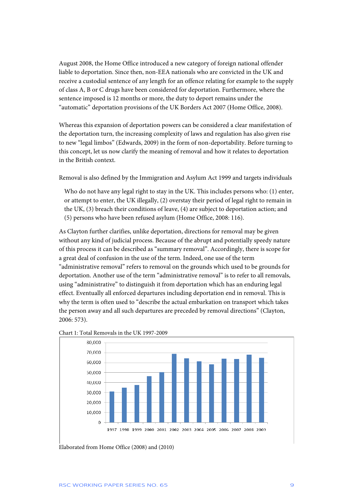August 2008, the Home Office introduced a new category of foreign national offender liable to deportation. Since then, non-EEA nationals who are convicted in the UK and receive a custodial sentence of any length for an offence relating for example to the supply of class A, B or C drugs have been considered for deportation. Furthermore, where the sentence imposed is 12 months or more, the duty to deport remains under the "automatic" deportation provisions of the UK Borders Act 2007 (Home Office, 2008).

Whereas this expansion of deportation powers can be considered a clear manifestation of the deportation turn, the increasing complexity of laws and regulation has also given rise to new "legal limbos" (Edwards, 2009) in the form of non-deportability. Before turning to this concept, let us now clarify the meaning of removal and how it relates to deportation in the British context.

Removal is also defined by the Immigration and Asylum Act 1999 and targets individuals

Who do not have any legal right to stay in the UK. This includes persons who: (1) enter, or attempt to enter, the UK illegally, (2) overstay their period of legal right to remain in the UK, (3) breach their conditions of leave, (4) are subject to deportation action; and (5) persons who have been refused asylum (Home Office, 2008: 116).

As Clayton further clarifies, unlike deportation, directions for removal may be given without any kind of judicial process. Because of the abrupt and potentially speedy nature of this process it can be described as "summary removal". Accordingly, there is scope for a great deal of confusion in the use of the term. Indeed, one use of the term "administrative removal" refers to removal on the grounds which used to be grounds for deportation. Another use of the term "administrative removal" is to refer to all removals, using "administrative" to distinguish it from deportation which has an enduring legal effect. Eventually all enforced departures including deportation end in removal. This is why the term is often used to "describe the actual embarkation on transport which takes the person away and all such departures are preceded by removal directions" (Clayton, 2006: 573).





Elaborated from Home Office (2008) and (2010)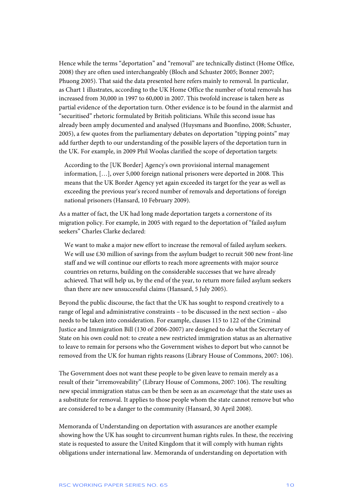Hence while the terms "deportation" and "removal" are technically distinct (Home Office, 2008) they are often used interchangeably (Bloch and Schuster 2005; Bonner 2007; Phuong 2005). That said the data presented here refers mainly to removal. In particular, as Chart 1 illustrates, according to the UK Home Office the number of total removals has increased from 30,000 in 1997 to 60,000 in 2007. This twofold increase is taken here as partial evidence of the deportation turn. Other evidence is to be found in the alarmist and "securitised" rhetoric formulated by British politicians. While this second issue has already been amply documented and analysed (Huysmans and Buonfino, 2008; Schuster, 2005), a few quotes from the parliamentary debates on deportation "tipping points" may add further depth to our understanding of the possible layers of the deportation turn in the UK. For example, in 2009 Phil Woolas clarified the scope of deportation targets:

According to the [UK Border] Agency's own provisional internal management information, […], over 5,000 foreign national prisoners were deported in 2008. This means that the UK Border Agency yet again exceeded its target for the year as well as exceeding the previous year's record number of removals and deportations of foreign national prisoners (Hansard, 10 February 2009).

As a matter of fact, the UK had long made deportation targets a cornerstone of its migration policy. For example, in 2005 with regard to the deportation of "failed asylum seekers" Charles Clarke declared:

We want to make a major new effort to increase the removal of failed asylum seekers. We will use £30 million of savings from the asylum budget to recruit 500 new front-line staff and we will continue our efforts to reach more agreements with major source countries on returns, building on the considerable successes that we have already achieved. That will help us, by the end of the year, to return more failed asylum seekers than there are new unsuccessful claims (Hansard, 5 July 2005).

Beyond the public discourse, the fact that the UK has sought to respond creatively to a range of legal and administrative constraints – to be discussed in the next section – also needs to be taken into consideration. For example, clauses 115 to 122 of the Criminal Justice and Immigration Bill (130 of 2006-2007) are designed to do what the Secretary of State on his own could not: to create a new restricted immigration status as an alternative to leave to remain for persons who the Government wishes to deport but who cannot be removed from the UK for human rights reasons (Library House of Commons, 2007: 106).

The Government does not want these people to be given leave to remain merely as a result of their "irremoveability" (Library House of Commons, 2007: 106). The resulting new special immigration status can be then be seen as an *escamotage* that the state uses as a substitute for removal. It applies to those people whom the state cannot remove but who are considered to be a danger to the community (Hansard, 30 April 2008).

Memoranda of Understanding on deportation with assurances are another example showing how the UK has sought to circumvent human rights rules. In these, the receiving state is requested to assure the United Kingdom that it will comply with human rights obligations under international law. Memoranda of understanding on deportation with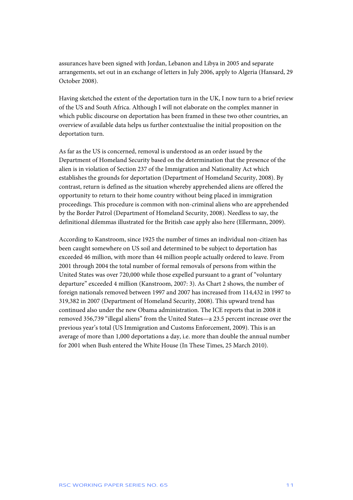assurances have been signed with Jordan, Lebanon and Libya in 2005 and separate arrangements, set out in an exchange of letters in July 2006, apply to Algeria (Hansard, 29 October 2008).

Having sketched the extent of the deportation turn in the UK, I now turn to a brief review of the US and South Africa. Although I will not elaborate on the complex manner in which public discourse on deportation has been framed in these two other countries, an overview of available data helps us further contextualise the initial proposition on the deportation turn.

As far as the US is concerned, removal is understood as an order issued by the Department of Homeland Security based on the determination that the presence of the alien is in violation of Section 237 of the Immigration and Nationality Act which establishes the grounds for deportation (Department of Homeland Security, 2008). By contrast, return is defined as the situation whereby apprehended aliens are offered the opportunity to return to their home country without being placed in immigration proceedings. This procedure is common with non-criminal aliens who are apprehended by the Border Patrol (Department of Homeland Security, 2008). Needless to say, the definitional dilemmas illustrated for the British case apply also here (Ellermann, 2009).

According to Kanstroom, since 1925 the number of times an individual non-citizen has been caught somewhere on US soil and determined to be subject to deportation has exceeded 46 million, with more than 44 million people actually ordered to leave. From 2001 through 2004 the total number of formal removals of persons from within the United States was over 720,000 while those expelled pursuant to a grant of "voluntary departure" exceeded 4 million (Kanstroom, 2007: 3). As Chart 2 shows, the number of foreign nationals removed between 1997 and 2007 has increased from 114,432 in 1997 to 319,382 in 2007 (Department of Homeland Security, 2008). This upward trend has continued also under the new Obama administration. The ICE reports that in 2008 it removed 356,739 "illegal aliens" from the United States—a 23.5 percent increase over the previous year's total (US Immigration and Customs Enforcement, 2009). This is an average of more than 1,000 deportations a day, i.e. more than double the annual number for 2001 when Bush entered the White House (In These Times, 25 March 2010).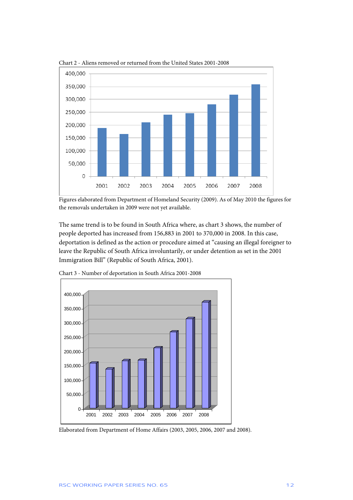

Chart 2 - Aliens removed or returned from the United States 2001-2008

Figures elaborated from Department of Homeland Security (2009). As of May 2010 the figures for the removals undertaken in 2009 were not yet available.

The same trend is to be found in South Africa where, as chart 3 shows, the number of people deported has increased from 156,883 in 2001 to 370,000 in 2008. In this case, deportation is defined as the action or procedure aimed at "causing an illegal foreigner to leave the Republic of South Africa involuntarily, or under detention as set in the 2001 Immigration Bill" (Republic of South Africa, 2001).



Chart 3 - Number of deportation in South Africa 2001-2008

Elaborated from Department of Home Affairs (2003, 2005, 2006, 2007 and 2008).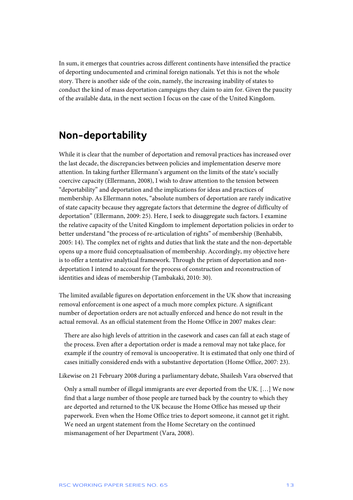In sum, it emerges that countries across different continents have intensified the practice of deporting undocumented and criminal foreign nationals. Yet this is not the whole story. There is another side of the coin, namely, the increasing inability of states to conduct the kind of mass deportation campaigns they claim to aim for. Given the paucity of the available data, in the next section I focus on the case of the United Kingdom.

### **Non-deportability**

While it is clear that the number of deportation and removal practices has increased over the last decade, the discrepancies between policies and implementation deserve more attention. In taking further Ellermann's argument on the limits of the state's socially coercive capacity (Ellermann, 2008), I wish to draw attention to the tension between "deportability" and deportation and the implications for ideas and practices of membership. As Ellermann notes, "absolute numbers of deportation are rarely indicative of state capacity because they aggregate factors that determine the degree of difficulty of deportation" (Ellermann, 2009: 25). Here, I seek to disaggregate such factors. I examine the relative capacity of the United Kingdom to implement deportation policies in order to better understand "the process of re-articulation of rights" of membership (Benhabib, 2005: 14). The complex net of rights and duties that link the state and the non-deportable opens up a more fluid conceptualisation of membership. Accordingly, my objective here is to offer a tentative analytical framework. Through the prism of deportation and nondeportation I intend to account for the process of construction and reconstruction of identities and ideas of membership (Tambakaki, 2010: 30).

The limited available figures on deportation enforcement in the UK show that increasing removal enforcement is one aspect of a much more complex picture. A significant number of deportation orders are not actually enforced and hence do not result in the actual removal. As an official statement from the Home Office in 2007 makes clear:

There are also high levels of attrition in the casework and cases can fall at each stage of the process. Even after a deportation order is made a removal may not take place, for example if the country of removal is uncooperative. It is estimated that only one third of cases initially considered ends with a substantive deportation (Home Office, 2007: 23).

Likewise on 21 February 2008 during a parliamentary debate, Shailesh Vara observed that

Only a small number of illegal immigrants are ever deported from the UK. […] We now find that a large number of those people are turned back by the country to which they are deported and returned to the UK because the Home Office has messed up their paperwork. Even when the Home Office tries to deport someone, it cannot get it right. We need an urgent statement from the Home Secretary on the continued mismanagement of her Department (Vara, 2008).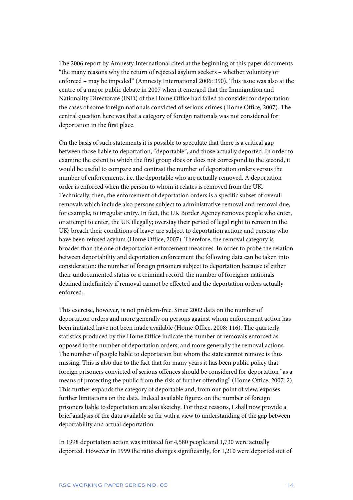The 2006 report by Amnesty International cited at the beginning of this paper documents "the many reasons why the return of rejected asylum seekers – whether voluntary or enforced – may be impeded" (Amnesty International 2006: 390). This issue was also at the centre of a major public debate in 2007 when it emerged that the Immigration and Nationality Directorate (IND) of the Home Office had failed to consider for deportation the cases of some foreign nationals convicted of serious crimes (Home Office, 2007). The central question here was that a category of foreign nationals was not considered for deportation in the first place.

On the basis of such statements it is possible to speculate that there is a critical gap between those liable to deportation, "deportable", and those actually deported. In order to examine the extent to which the first group does or does not correspond to the second, it would be useful to compare and contrast the number of deportation orders versus the number of enforcements, i.e. the deportable who are actually removed. A deportation order is enforced when the person to whom it relates is removed from the UK. Technically, then, the enforcement of deportation orders is a specific subset of overall removals which include also persons subject to administrative removal and removal due, for example, to irregular entry. In fact, the UK Border Agency removes people who enter, or attempt to enter, the UK illegally; overstay their period of legal right to remain in the UK; breach their conditions of leave; are subject to deportation action; and persons who have been refused asylum (Home Office, 2007). Therefore, the removal category is broader than the one of deportation enforcement measures. In order to probe the relation between deportability and deportation enforcement the following data can be taken into consideration: the number of foreign prisoners subject to deportation because of either their undocumented status or a criminal record, the number of foreigner nationals detained indefinitely if removal cannot be effected and the deportation orders actually enforced.

This exercise, however, is not problem-free. Since 2002 data on the number of deportation orders and more generally on persons against whom enforcement action has been initiated have not been made available (Home Office, 2008: 116). The quarterly statistics produced by the Home Office indicate the number of removals enforced as opposed to the number of deportation orders, and more generally the removal actions. The number of people liable to deportation but whom the state cannot remove is thus missing. This is also due to the fact that for many years it has been public policy that foreign prisoners convicted of serious offences should be considered for deportation "as a means of protecting the public from the risk of further offending" (Home Office, 2007: 2). This further expands the category of deportable and, from our point of view, exposes further limitations on the data. Indeed available figures on the number of foreign prisoners liable to deportation are also sketchy. For these reasons, I shall now provide a brief analysis of the data available so far with a view to understanding of the gap between deportability and actual deportation.

In 1998 deportation action was initiated for 4,580 people and 1,730 were actually deported. However in 1999 the ratio changes significantly, for 1,210 were deported out of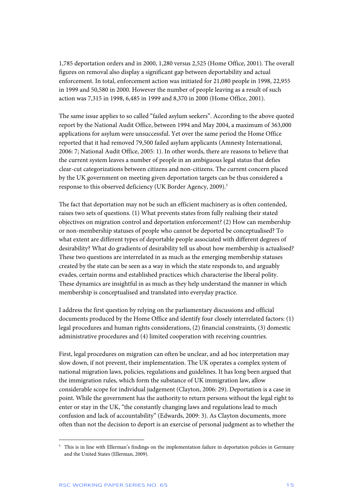1,785 deportation orders and in 2000, 1,280 versus 2,525 (Home Office, 2001). The overall figures on removal also display a significant gap between deportability and actual enforcement. In total, enforcement action was initiated for 21,080 people in 1998, 22,955 in 1999 and 50,580 in 2000. However the number of people leaving as a result of such action was 7,315 in 1998, 6,485 in 1999 and 8,370 in 2000 (Home Office, 2001).

The same issue applies to so called "failed asylum seekers". According to the above quoted report by the National Audit Office, between 1994 and May 2004, a maximum of 363,000 applications for asylum were unsuccessful. Yet over the same period the Home Office reported that it had removed 79,500 failed asylum applicants (Amnesty International, 2006: 7; National Audit Office, 2005: 1). In other words, there are reasons to believe that the current system leaves a number of people in an ambiguous legal status that defies clear-cut categorizations between citizens and non-citizens. The current concern placed by the UK government on meeting given deportation targets can be thus considered a response to this observed deficiency (UK Border Agency, 2009).<sup>5</sup>

The fact that deportation may not be such an efficient machinery as is often contended, raises two sets of questions. (1) What prevents states from fully realising their stated objectives on migration control and deportation enforcement? (2) How can membership or non-membership statuses of people who cannot be deported be conceptualised? To what extent are different types of deportable people associated with different degrees of desirability? What do gradients of desirability tell us about how membership is actualised? These two questions are interrelated in as much as the emerging membership statuses created by the state can be seen as a way in which the state responds to, and arguably evades, certain norms and established practices which characterise the liberal polity. These dynamics are insightful in as much as they help understand the manner in which membership is conceptualised and translated into everyday practice.

I address the first question by relying on the parliamentary discussions and official documents produced by the Home Office and identify four closely interrelated factors: (1) legal procedures and human rights considerations, (2) financial constraints, (3) domestic administrative procedures and (4) limited cooperation with receiving countries.

First, legal procedures on migration can often be unclear, and ad hoc interpretation may slow down, if not prevent, their implementation. The UK operates a complex system of national migration laws, policies, regulations and guidelines. It has long been argued that the immigration rules, which form the substance of UK immigration law, allow considerable scope for individual judgement (Clayton, 2006: 29). Deportation is a case in point. While the government has the authority to return persons without the legal right to enter or stay in the UK, "the constantly changing laws and regulations lead to much confusion and lack of accountability" (Edwards, 2009: 3). As Clayton documents, more often than not the decision to deport is an exercise of personal judgment as to whether the

<sup>5</sup> This is in line with Ellerman's findings on the implementation failure in deportation policies in Germany and the United States (Ellerman, 2009).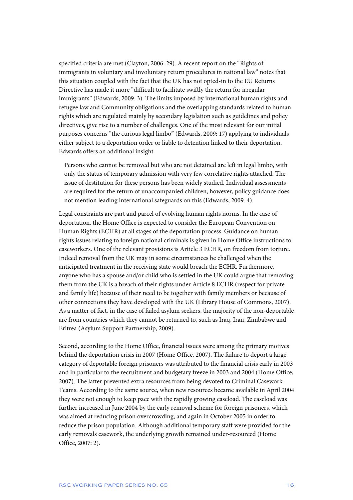specified criteria are met (Clayton, 2006: 29). A recent report on the "Rights of immigrants in voluntary and involuntary return procedures in national law" notes that this situation coupled with the fact that the UK has not opted-in to the EU Returns Directive has made it more "difficult to facilitate swiftly the return for irregular immigrants" (Edwards, 2009: 3). The limits imposed by international human rights and refugee law and Community obligations and the overlapping standards related to human rights which are regulated mainly by secondary legislation such as guidelines and policy directives, give rise to a number of challenges. One of the most relevant for our initial purposes concerns "the curious legal limbo" (Edwards, 2009: 17) applying to individuals either subject to a deportation order or liable to detention linked to their deportation. Edwards offers an additional insight:

Persons who cannot be removed but who are not detained are left in legal limbo, with only the status of temporary admission with very few correlative rights attached. The issue of destitution for these persons has been widely studied. Individual assessments are required for the return of unaccompanied children, however, policy guidance does not mention leading international safeguards on this (Edwards, 2009: 4).

Legal constraints are part and parcel of evolving human rights norms. In the case of deportation, the Home Office is expected to consider the European Convention on Human Rights (ECHR) at all stages of the deportation process. Guidance on human rights issues relating to foreign national criminals is given in Home Office instructions to caseworkers. One of the relevant provisions is Article 3 ECHR, on freedom from torture. Indeed removal from the UK may in some circumstances be challenged when the anticipated treatment in the receiving state would breach the ECHR. Furthermore, anyone who has a spouse and/or child who is settled in the UK could argue that removing them from the UK is a breach of their rights under Article 8 ECHR (respect for private and family life) because of their need to be together with family members or because of other connections they have developed with the UK (Library House of Commons, 2007). As a matter of fact, in the case of failed asylum seekers, the majority of the non-deportable are from countries which they cannot be returned to, such as Iraq, Iran, Zimbabwe and Eritrea (Asylum Support Partnership, 2009).

Second, according to the Home Office, financial issues were among the primary motives behind the deportation crisis in 2007 (Home Office, 2007). The failure to deport a large category of deportable foreign prisoners was attributed to the financial crisis early in 2003 and in particular to the recruitment and budgetary freeze in 2003 and 2004 (Home Office, 2007). The latter prevented extra resources from being devoted to Criminal Casework Teams. According to the same source, when new resources became available in April 2004 they were not enough to keep pace with the rapidly growing caseload. The caseload was further increased in June 2004 by the early removal scheme for foreign prisoners, which was aimed at reducing prison overcrowding; and again in October 2005 in order to reduce the prison population. Although additional temporary staff were provided for the early removals casework, the underlying growth remained under-resourced (Home Office, 2007: 2).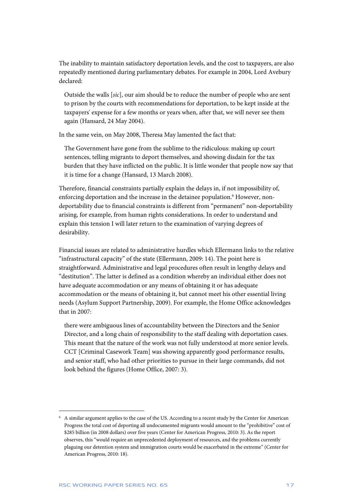The inability to maintain satisfactory deportation levels, and the cost to taxpayers, are also repeatedly mentioned during parliamentary debates. For example in 2004, Lord Avebury declared:

Outside the walls [*sic*], our aim should be to reduce the number of people who are sent to prison by the courts with recommendations for deportation, to be kept inside at the taxpayers' expense for a few months or years when, after that, we will never see them again (Hansard, 24 May 2004).

In the same vein, on May 2008, Theresa May lamented the fact that:

The Government have gone from the sublime to the ridiculous: making up court sentences, telling migrants to deport themselves, and showing disdain for the tax burden that they have inflicted on the public. It is little wonder that people now say that it is time for a change (Hansard, 13 March 2008).

Therefore, financial constraints partially explain the delays in, if not impossibility of, enforcing deportation and the increase in the detainee population.<sup>6</sup> However, nondeportability due to financial constraints is different from "permanent" non-deportability arising, for example, from human rights considerations. In order to understand and explain this tension I will later return to the examination of varying degrees of desirability.

Financial issues are related to administrative hurdles which Ellermann links to the relative "infrastructural capacity" of the state (Ellermann, 2009: 14). The point here is straightforward. Administrative and legal procedures often result in lengthy delays and "destitution". The latter is defined as a condition whereby an individual either does not have adequate accommodation or any means of obtaining it or has adequate accommodation or the means of obtaining it, but cannot meet his other essential living needs (Asylum Support Partnership, 2009). For example, the Home Office acknowledges that in 2007:

there were ambiguous lines of accountability between the Directors and the Senior Director, and a long chain of responsibility to the staff dealing with deportation cases. This meant that the nature of the work was not fully understood at more senior levels. CCT [Criminal Casework Team] was showing apparently good performance results, and senior staff, who had other priorities to pursue in their large commands, did not look behind the figures (Home Office, 2007: 3).

<sup>6</sup> A similar argument applies to the case of the US. According to a recent study by the Center for American Progress the total cost of deporting all undocumented migrants would amount to the "prohibitive" cost of \$285 billion (in 2008 dollars) over five years (Center for American Progress, 2010: 3). As the report observes, this "would require an unprecedented deployment of resources, and the problems currently plaguing our detention system and immigration courts would be exacerbated in the extreme" (Center for American Progress, 2010: 18).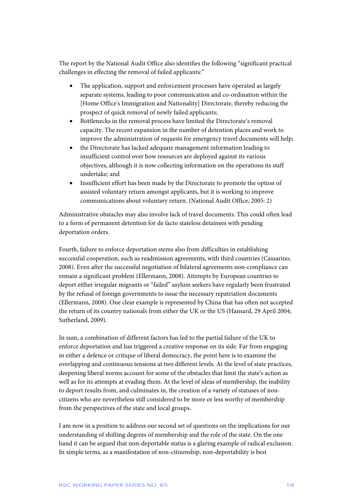The report by the National Audit Office also identifies the following "significant practical challenges in effecting the removal of failed applicants:"

- The application, support and enforcement processes have operated as largely separate systems, leading to poor communication and co-ordination within the [Home Office's Immigration and Nationality] Directorate, thereby reducing the prospect of quick removal of newly failed applicants;
- Bottlenecks in the removal process have limited the Directorate's removal capacity. The recent expansion in the number of detention places and work to improve the administration of requests for emergency travel documents will help;
- the Directorate has lacked adequate management information leading to insufficient control over how resources are deployed against its various objectives, although it is now collecting information on the operations its staff undertake; and
- Insufficient effort has been made by the Directorate to promote the option of assisted voluntary return amongst applicants, but it is working to improve communications about voluntary return. (National Audit Office, 2005: 2)

Administrative obstacles may also involve lack of travel documents. This could often lead to a form of permanent detention for de facto stateless detainees with pending deportation orders.

Fourth, failure to enforce deportation stems also from difficulties in establishing successful cooperation, such as readmission agreements, with third countries (Cassarino, 2008). Even after the successful negotiation of bilateral agreements non-compliance can remain a significant problem (Ellermann, 2008). Attempts by European countries to deport either irregular migrants or "failed" asylum seekers have regularly been frustrated by the refusal of foreign governments to issue the necessary repatriation documents (Ellermann, 2008). One clear example is represented by China that has often not accepted the return of its country nationals from either the UK or the US (Hansard, 29 April 2004; Sutherland, 2009).

In sum, a combination of different factors has led to the partial failure of the UK to enforce deportation and has triggered a creative response on its side. Far from engaging in either a defence or critique of liberal democracy, the point here is to examine the overlapping and continuous tensions at two different levels. At the level of state practices, deepening liberal norms account for some of the obstacles that limit the state's action as well as for its attempts at evading them. At the level of ideas of membership, the inability to deport results from, and culminates in, the creation of a variety of statuses of noncitizens who are nevertheless still considered to be more or less worthy of membership from the perspectives of the state and local groups.

I am now in a position to address our second set of questions on the implications for our understanding of shifting degrees of membership and the role of the state. On the one hand it can be argued that non-deportable status is a glaring example of radical exclusion. In simple terms, as a manifestation of non-citizenship, non-deportability is best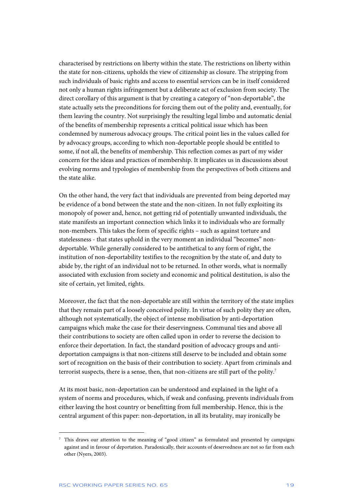characterised by restrictions on liberty within the state. The restrictions on liberty within the state for non-citizens, upholds the view of citizenship as closure. The stripping from such individuals of basic rights and access to essential services can be in itself considered not only a human rights infringement but a deliberate act of exclusion from society. The direct corollary of this argument is that by creating a category of "non-deportable", the state actually sets the preconditions for forcing them out of the polity and, eventually, for them leaving the country. Not surprisingly the resulting legal limbo and automatic denial of the benefits of membership represents a critical political issue which has been condemned by numerous advocacy groups. The critical point lies in the values called for by advocacy groups, according to which non-deportable people should be entitled to some, if not all, the benefits of membership. This reflection comes as part of my wider concern for the ideas and practices of membership. It implicates us in discussions about evolving norms and typologies of membership from the perspectives of both citizens and the state alike.

On the other hand, the very fact that individuals are prevented from being deported may be evidence of a bond between the state and the non-citizen. In not fully exploiting its monopoly of power and, hence, not getting rid of potentially unwanted individuals, the state manifests an important connection which links it to individuals who are formally non-members. This takes the form of specific rights – such as against torture and statelessness - that states uphold in the very moment an individual "becomes" nondeportable. While generally considered to be antithetical to any form of right, the institution of non-deportability testifies to the recognition by the state of, and duty to abide by, the right of an individual not to be returned. In other words, what is normally associated with exclusion from society and economic and political destitution, is also the site of certain, yet limited, rights.

Moreover, the fact that the non-deportable are still within the territory of the state implies that they remain part of a loosely conceived polity. In virtue of such polity they are often, although not systematically, the object of intense mobilisation by anti-deportation campaigns which make the case for their deservingness. Communal ties and above all their contributions to society are often called upon in order to reverse the decision to enforce their deportation. In fact, the standard position of advocacy groups and antideportation campaigns is that non-citizens still deserve to be included and obtain some sort of recognition on the basis of their contribution to society. Apart from criminals and terrorist suspects, there is a sense, then, that non-citizens are still part of the polity.<sup>7</sup>

At its most basic, non-deportation can be understood and explained in the light of a system of norms and procedures, which, if weak and confusing, prevents individuals from either leaving the host country or benefitting from full membership. Hence, this is the central argument of this paper: non-deportation, in all its brutality, may ironically be

<sup>7</sup> This draws our attention to the meaning of "good citizen" as formulated and presented by campaigns against and in favour of deportation. Paradoxically, their accounts of deservedness are not so far from each other (Nyers, 2003).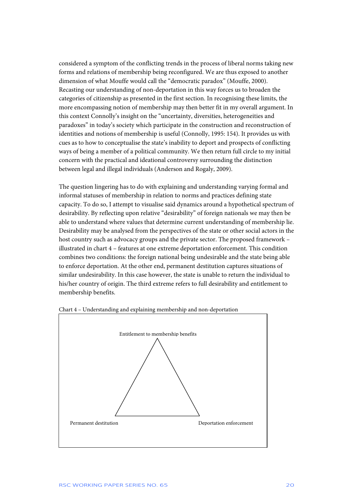considered a symptom of the conflicting trends in the process of liberal norms taking new forms and relations of membership being reconfigured. We are thus exposed to another dimension of what Mouffe would call the "democratic paradox" (Mouffe, 2000). Recasting our understanding of non-deportation in this way forces us to broaden the categories of citizenship as presented in the first section. In recognising these limits, the more encompassing notion of membership may then better fit in my overall argument. In this context Connolly's insight on the "uncertainty, diversities, heterogeneities and paradoxes" in today's society which participate in the construction and reconstruction of identities and notions of membership is useful (Connolly, 1995: 154). It provides us with cues as to how to conceptualise the state's inability to deport and prospects of conflicting ways of being a member of a political community. We then return full circle to my initial concern with the practical and ideational controversy surrounding the distinction between legal and illegal individuals (Anderson and Rogaly, 2009).

The question lingering has to do with explaining and understanding varying formal and informal statuses of membership in relation to norms and practices defining state capacity. To do so, I attempt to visualise said dynamics around a hypothetical spectrum of desirability. By reflecting upon relative "desirability" of foreign nationals we may then be able to understand where values that determine current understanding of membership lie. Desirability may be analysed from the perspectives of the state or other social actors in the host country such as advocacy groups and the private sector. The proposed framework – illustrated in chart 4 – features at one extreme deportation enforcement. This condition combines two conditions: the foreign national being undesirable and the state being able to enforce deportation. At the other end, permanent destitution captures situations of similar undesirability. In this case however, the state is unable to return the individual to his/her country of origin. The third extreme refers to full desirability and entitlement to membership benefits.



Chart 4 – Understanding and explaining membership and non-deportation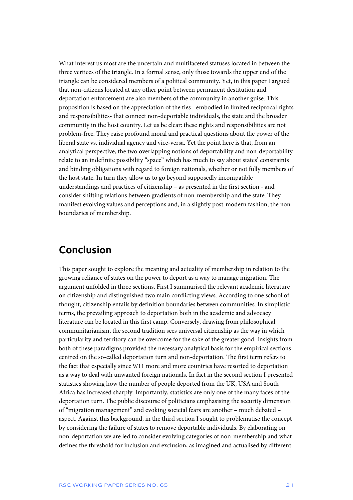What interest us most are the uncertain and multifaceted statuses located in between the three vertices of the triangle. In a formal sense, only those towards the upper end of the triangle can be considered members of a political community. Yet, in this paper I argued that non-citizens located at any other point between permanent destitution and deportation enforcement are also members of the community in another guise. This proposition is based on the appreciation of the ties - embodied in limited reciprocal rights and responsibilities- that connect non-deportable individuals, the state and the broader community in the host country. Let us be clear: these rights and responsibilities are not problem-free. They raise profound moral and practical questions about the power of the liberal state vs. individual agency and vice-versa. Yet the point here is that, from an analytical perspective, the two overlapping notions of deportability and non-deportability relate to an indefinite possibility "space" which has much to say about states' constraints and binding obligations with regard to foreign nationals, whether or not fully members of the host state. In turn they allow us to go beyond supposedly incompatible understandings and practices of citizenship – as presented in the first section - and consider shifting relations between gradients of non-membership and the state. They manifest evolving values and perceptions and, in a slightly post-modern fashion, the nonboundaries of membership.

### **Conclusion**

This paper sought to explore the meaning and actuality of membership in relation to the growing reliance of states on the power to deport as a way to manage migration. The argument unfolded in three sections. First I summarised the relevant academic literature on citizenship and distinguished two main conflicting views. According to one school of thought, citizenship entails by definition boundaries between communities. In simplistic terms, the prevailing approach to deportation both in the academic and advocacy literature can be located in this first camp. Conversely, drawing from philosophical communitarianism, the second tradition sees universal citizenship as the way in which particularity and territory can be overcome for the sake of the greater good. Insights from both of these paradigms provided the necessary analytical basis for the empirical sections centred on the so-called deportation turn and non-deportation. The first term refers to the fact that especially since 9/11 more and more countries have resorted to deportation as a way to deal with unwanted foreign nationals. In fact in the second section I presented statistics showing how the number of people deported from the UK, USA and South Africa has increased sharply. Importantly, statistics are only one of the many faces of the deportation turn. The public discourse of politicians emphasising the security dimension of "migration management" and evoking societal fears are another – much debated – aspect. Against this background, in the third section I sought to problematise the concept by considering the failure of states to remove deportable individuals. By elaborating on non-deportation we are led to consider evolving categories of non-membership and what defines the threshold for inclusion and exclusion, as imagined and actualised by different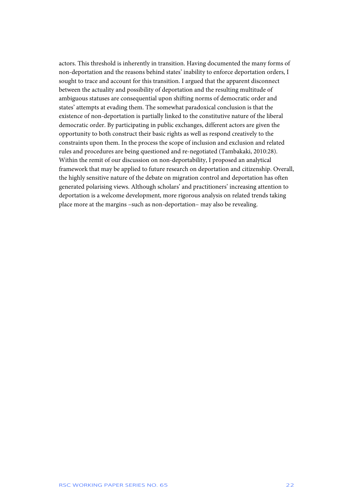actors. This threshold is inherently in transition. Having documented the many forms of non-deportation and the reasons behind states' inability to enforce deportation orders, I sought to trace and account for this transition. I argued that the apparent disconnect between the actuality and possibility of deportation and the resulting multitude of ambiguous statuses are consequential upon shifting norms of democratic order and states' attempts at evading them. The somewhat paradoxical conclusion is that the existence of non-deportation is partially linked to the constitutive nature of the liberal democratic order. By participating in public exchanges, different actors are given the opportunity to both construct their basic rights as well as respond creatively to the constraints upon them. In the process the scope of inclusion and exclusion and related rules and procedures are being questioned and re-negotiated (Tambakaki, 2010:28). Within the remit of our discussion on non-deportability, I proposed an analytical framework that may be applied to future research on deportation and citizenship. Overall, the highly sensitive nature of the debate on migration control and deportation has often generated polarising views. Although scholars' and practitioners' increasing attention to deportation is a welcome development, more rigorous analysis on related trends taking place more at the margins –such as non-deportation– may also be revealing.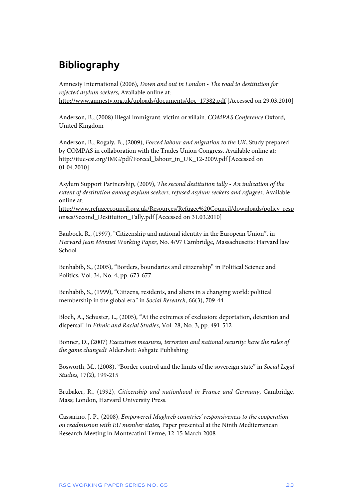# **Bibliography**

Amnesty International (2006), *Down and out in London - The road to destitution for rejected asylum seekers*, Available online at: http://www.amnesty.org.uk/uploads/documents/doc\_17382.pdf [Accessed on 29.03.2010]

Anderson, B., (2008) Illegal immigrant: victim or villain. *COMPAS Conference* Oxford, United Kingdom

Anderson, B., Rogaly, B., (2009), *Forced labour and migration to the UK*, Study prepared by COMPAS in collaboration with the Trades Union Congress, Available online at: http://ituc-csi.org/IMG/pdf/Forced\_labour\_in\_UK\_12-2009.pdf [Accessed on 01.04.2010]

Asylum Support Partnership, (2009), *The second destitution tally - An indication of the extent of destitution among asylum seekers, refused asylum seekers and refugees,* Available online at:

http://www.refugeecouncil.org.uk/Resources/Refugee%20Council/downloads/policy\_resp onses/Second\_Destitution\_Tally.pdf [Accessed on 31.03.2010]

Baubock, R., (1997), "Citizenship and national identity in the European Union", in *Harvard Jean Monnet Working Paper*, No. 4/97 Cambridge, Massachusetts: Harvard law School

Benhabib, S., (2005), "Borders, boundaries and citizenship" in Political Science and Politics, Vol. 34, No. 4, pp. 673-677

Benhabib, S., (1999), "Citizens, residents, and aliens in a changing world: political membership in the global era" in *Social Research,* 66(3), 709-44

Bloch, A., Schuster, L., (2005), "At the extremes of exclusion: deportation, detention and dispersal" in *Ethnic and Racial Studies,* Vol. 28, No. 3, pp. 491-512

Bonner, D., (2007) *Executives measures, terrorism and national security: have the rules of the game changed?* Aldershot: Ashgate Publishing

Bosworth, M., (2008), "Border control and the limits of the sovereign state" in *Social Legal Studies,* 17(2), 199-215

Brubaker, R., (1992), *Citizenship and nationhood in France and Germany*, Cambridge, Mass; London, Harvard University Press.

Cassarino, J. P., (2008), *Empowered Maghreb countries' responsiveness to the cooperation on readmission with EU member states,* Paper presented at the Ninth Mediterranean Research Meeting in Montecatini Terme, 12-15 March 2008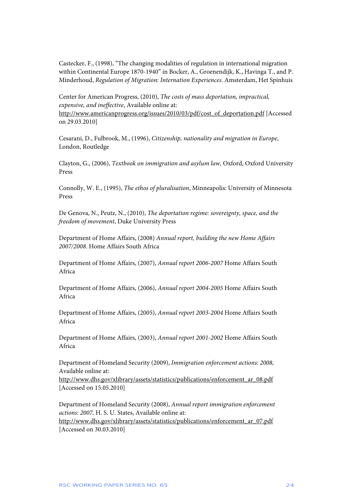Castecker, F., (1998), "The changing modalities of regulation in international migration within Continental Europe 1870-1940" in Bocker, A., Groenendijk, K., Havinga T., and P. Minderhoud, *Regulation of Migration: Internation Experiences*. Amsterdam, Het Spinhuis

Center for American Progress, (2010), *The costs of mass deportation, impractical, expensive, and ineffective*, Available online at: http://www.americanprogress.org/issues/2010/03/pdf/cost\_of\_deportation.pdf [Accessed on 29.03.2010]

Cesarani, D., Fulbrook, M., (1996), *Citizenship, nationality and migration in Europe*, London, Routledge

Clayton, G., (2006), *Textbook on immigration and asylum law,* Oxford, Oxford University Press

Connolly, W. E., (1995), *The ethos of pluralisation*, Minneapolis: University of Minnesota Press

De Genova, N., Peutz, N., (2010), *The deportation regime: sovereignty, space, and the freedom of movement*, Duke University Press

Department of Home Affairs, (2008) *Annual report, building the new Home Affairs 2007/2008*. Home Affairs South Africa

Department of Home Affairs, (2007), *Annual report 2006-2007* Home Affairs South Africa

Department of Home Affairs, (2006), *Annual report 2004-2005* Home Affairs South Africa

Department of Home Affairs, (2005), *Annual report 2003-2004* Home Affairs South Africa

Department of Home Affairs, (2003), *Annual report 2001-2002* Home Affairs South Africa

Department of Homeland Security (2009), *Immigration enforcement actions: 2008,*  Available online at:

http://www.dhs.gov/xlibrary/assets/statistics/publications/enforcement\_ar\_08.pdf [Accessed on 15.05.2010]

Department of Homeland Security (2008), *Annual report immigration enforcement actions: 2007,* H. S. U. States, Available online at:

http://www.dhs.gov/xlibrary/assets/statistics/publications/enforcement\_ar\_07.pdf [Accessed on 30.03.2010]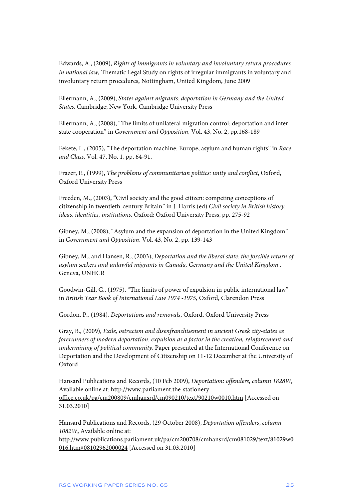Edwards, A., (2009), *Rights of immigrants in voluntary and involuntary return procedures in national law,* Thematic Legal Study on rights of irregular immigrants in voluntary and involuntary return procedures, Nottingham, United Kingdom, June 2009

Ellermann, A., (2009), *States against migrants: deportation in Germany and the United States*. Cambridge; New York, Cambridge University Press

Ellermann, A., (2008), "The limits of unilateral migration control: deportation and interstate cooperation" in *Government and Opposition,* Vol. 43, No. 2, pp.168-189

Fekete, L., (2005), "The deportation machine: Europe, asylum and human rights" in *Race and Class,* Vol. 47, No. 1, pp. 64-91.

Frazer, E., (1999), *The problems of communitarian politics: unity and conflict*, Oxford, Oxford University Press

Freeden, M., (2003), "Civil society and the good citizen: competing conceptions of citizenship in twentieth-century Britain" in J. Harris (ed) *Civil society in British history: ideas, identities, institutions.* Oxford: Oxford University Press, pp. 275-92

Gibney, M., (2008), "Asylum and the expansion of deportation in the United Kingdom" in *Government and Opposition,* Vol. 43, No. 2, pp. 139-143

Gibney, M., and Hansen, R., (2003), *Deportation and the liberal state: the forcible return of asylum seekers and unlawful migrants in Canada, Germany and the United Kingdom ,*  Geneva, UNHCR

Goodwin-Gill, G., (1975), "The limits of power of expulsion in public international law" in *British Year Book of International Law 1974 -1975,* Oxford, Clarendon Press

Gordon, P., (1984), *Deportations and removals*, Oxford, Oxford University Press

Gray, B., (2009), *Exile, ostracism and disenfranchisement in ancient Greek city-states as forerunners of modern deportation: expulsion as a factor in the creation, reinforcement and undermining of political community,* Paper presented at the International Conference on Deportation and the Development of Citizenship on 11-12 December at the University of Oxford

Hansard Publications and Records, (10 Feb 2009), *Deportation: offenders*, *column 1828W,*  Available online at: http://www.parliament.the-stationeryoffice.co.uk/pa/cm200809/cmhansrd/cm090210/text/90210w0010.htm [Accessed on 31.03.2010]

Hansard Publications and Records, (29 October 2008), *Deportation offenders*, *column 1082W*, Available online at:

http://www.publications.parliament.uk/pa/cm200708/cmhansrd/cm081029/text/81029w0 016.htm#08102962000024 [Accessed on 31.03.2010]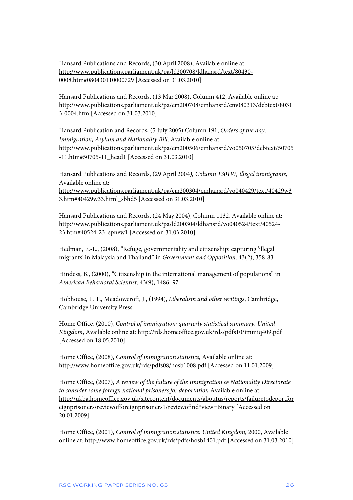Hansard Publications and Records, (30 April 2008), Available online at: http://www.publications.parliament.uk/pa/ld200708/ldhansrd/text/80430- 0008.htm#080430110000729 [Accessed on 31.03.2010]

Hansard Publications and Records, (13 Mar 2008), Column 412, Available online at: http://www.publications.parliament.uk/pa/cm200708/cmhansrd/cm080313/debtext/8031 3-0004.htm [Accessed on 31.03.2010]

Hansard Publication and Records, (5 July 2005) Column 191, *Orders of the day, Immigration, Asylum and Nationality Bill,* Available online at: http://www.publications.parliament.uk/pa/cm200506/cmhansrd/vo050705/debtext/50705 -11.htm#50705-11\_head1 [Accessed on 31.03.2010]

Hansard Publications and Records, (29 April 2004*), Column 1301W, illegal immigrants,*  Available online at: http://www.publications.parliament.uk/pa/cm200304/cmhansrd/vo040429/text/40429w3 3.htm#40429w33.html\_sbhd5 [Accessed on 31.03.2010]

Hansard Publications and Records, (24 May 2004), Column 1132, Available online at: http://www.publications.parliament.uk/pa/ld200304/ldhansrd/vo040524/text/40524- 23.htm#40524-23\_spnew1 [Accessed on 31.03.2010]

Hedman, E.-L., (2008), "Refuge, governmentality and citizenship: capturing 'illegal migrants' in Malaysia and Thailand" in *Government and Opposition,* 43(2), 358-83

Hindess, B., (2000), "Citizenship in the international management of populations" in *American Behavioral Scientist,* 43(9), 1486–97

Hobhouse, L. T., Meadowcroft, J., (1994), *Liberalism and other writings*, Cambridge, Cambridge University Press

Home Office, (2010), *Control of immigration: quarterly statistical summary, United Kingdom*, Available online at: http://rds.homeoffice.gov.uk/rds/pdfs10/immiq409.pdf [Accessed on 18.05.2010]

Home Office, (2008), *Control of immigration statistics*, Available online at: http://www.homeoffice.gov.uk/rds/pdfs08/hosb1008.pdf [Accessed on 11.01.2009]

Home Office, (2007), *A review of the failure of the Immigration & Nationality Directorate to consider some foreign national prisoners for deportation* Available online at: http://ukba.homeoffice.gov.uk/sitecontent/documents/aboutus/reports/failuretodeportfor eignprisoners/reviewofforeignprisoners1/reviewofind?view=Binary [Accessed on 20.01.2009]

Home Office, (2001), *Control of immigration statistics: United Kingdom*, 2000, Available online at: http://www.homeoffice.gov.uk/rds/pdfs/hosb1401.pdf [Accessed on 31.03.2010]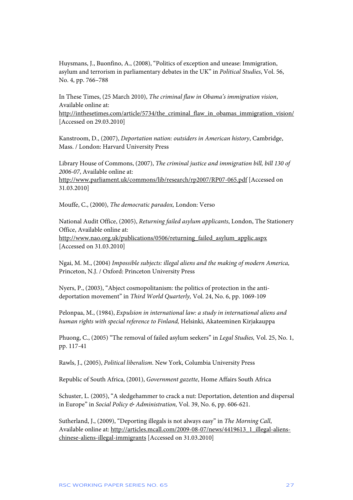Huysmans, J., Buonfino, A., (2008), "Politics of exception and unease: Immigration, asylum and terrorism in parliamentary debates in the UK" in *Political Studies*, Vol. 56, No. 4, pp. 766–788

In These Times, (25 March 2010), *The criminal flaw in Obama's immigration vision*, Available online at:

http://inthesetimes.com/article/5734/the\_criminal\_flaw\_in\_obamas\_immigration\_vision/ [Accessed on 29.03.2010]

Kanstroom, D., (2007), *Deportation nation: outsiders in American history*, Cambridge, Mass. / London: Harvard University Press

Library House of Commons, (2007), *The criminal justice and immigration bill, bill 130 of 2006-07*, Available online at: http://www.parliament.uk/commons/lib/research/rp2007/RP07-065.pdf [Accessed on 31.03.2010]

Mouffe, C., (2000), *The democratic paradox,* London: Verso

National Audit Office, (2005), *Returning failed asylum applicants*, London, The Stationery Office, Available online at: http://www.nao.org.uk/publications/0506/returning\_failed\_asylum\_applic.aspx [Accessed on 31.03.2010]

Ngai, M. M., (2004) *Impossible subjects: illegal aliens and the making of modern America,*  Princeton, N.J. / Oxford: Princeton University Press

Nyers, P., (2003), "Abject cosmopolitanism: the politics of protection in the antideportation movement" in *Third World Quarterly,* Vol. 24, No. 6, pp. 1069-109

Pelonpaa, M., (1984), *Expulsion in international law: a study in international aliens and human rights with special reference to Finland,* Helsinki, Akateeminen Kirjakauppa

Phuong, C., (2005) "The removal of failed asylum seekers" in *Legal Studies,* Vol. 25, No. 1, pp. 117-41

Rawls, J., (2005), *Political liberalism*. New York, Columbia University Press

Republic of South Africa, (2001), *Government gazette*, Home Affairs South Africa

Schuster, L. (2005), "A sledgehammer to crack a nut: Deportation, detention and dispersal in Europe" in *Social Policy & Administration,* Vol. 39, No. 6, pp. 606-621.

Sutherland, J., (2009), "Deporting illegals is not always easy" in *The Morning Call*, Available online at: http://articles.mcall.com/2009-08-07/news/4419613\_1\_illegal-alienschinese-aliens-illegal-immigrants [Accessed on 31.03.2010]